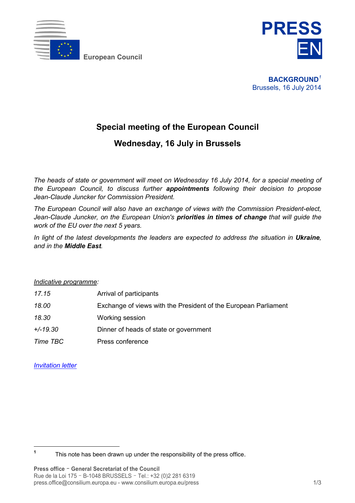

**European Council**



**BACKGROUND***<sup>1</sup>* Brussels, 16 July 2014

# **Special meeting of the European Council**

# **Wednesday, 16 July in Brussels**

*The heads of state or government will meet on Wednesday 16 July 2014, for a special meeting of the European Council, to discuss further appointments following their decision to propose Jean-Claude Juncker for Commission President.* 

*The European Council will also have an exchange of views with the Commission President-elect, Jean-Claude Juncker, on the European Union's priorities in times of change that will guide the work of the EU over the next 5 years.* 

*In light of the latest developments the leaders are expected to address the situation in Ukraine, and in the Middle East.* 

#### *Indicative programme:*

| 17.15      | Arrival of participants                                         |
|------------|-----------------------------------------------------------------|
| 18.00      | Exchange of views with the President of the European Parliament |
| 18.30      | Working session                                                 |
| $+/-19.30$ | Dinner of heads of state or government                          |
| Time TBC   | Press conference                                                |

*[Invitation letter](http://www.consilium.europa.eu/uedocs/cms_data/docs/pressdata/en/ec/143937.pdf)*

 $\overline{a}$ 

**<sup>1</sup>** This note has been drawn up under the responsibility of the press office.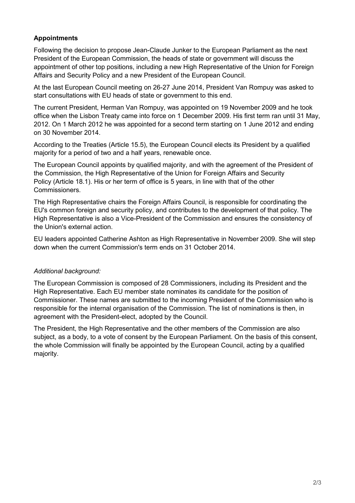### **Appointments**

Following the decision to propose Jean-Claude Junker to the European Parliament as the next President of the European Commission, the heads of state or government will discuss the appointment of other top positions, including a new High Representative of the Union for Foreign Affairs and Security Policy and a new President of the European Council.

At the last European Council meeting on 26-27 June 2014, President Van Rompuy was asked to start consultations with EU heads of state or government to this end.

The current President, Herman Van Rompuy, was appointed on 19 November 2009 and he took office when the Lisbon Treaty came into force on 1 December 2009. His first term ran until 31 May, 2012. On 1 March 2012 he was appointed for a second term starting on 1 June 2012 and ending on 30 November 2014.

According to the Treaties (Article 15.5), the European Council elects its President by a qualified majority for a period of two and a half years, renewable once.

The European Council appoints by qualified majority, and with the agreement of the President of the Commission, the High Representative of the Union for Foreign Affairs and Security Policy (Article 18.1). His or her term of office is 5 years, in line with that of the other Commissioners.

The High Representative chairs the Foreign Affairs Council, is responsible for coordinating the EU's common foreign and security policy, and contributes to the development of that policy. The High Representative is also a Vice-President of the Commission and ensures the consistency of the Union's external action.

EU leaders appointed Catherine Ashton as High Representative in November 2009. She will step down when the current Commission's term ends on 31 October 2014.

#### *Additional background:*

The European Commission is composed of 28 Commissioners, including its President and the High Representative. Each EU member state nominates its candidate for the position of Commissioner. These names are submitted to the incoming President of the Commission who is responsible for the internal organisation of the Commission. The list of nominations is then, in agreement with the President-elect, adopted by the Council.

The President, the High Representative and the other members of the Commission are also subject, as a body, to a vote of consent by the European Parliament. On the basis of this consent, the whole Commission will finally be appointed by the European Council, acting by a qualified majority.